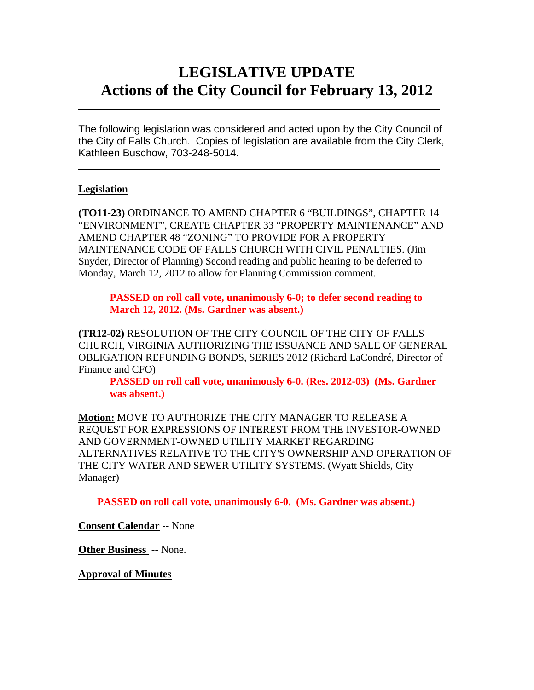# **LEGISLATIVE UPDATE Actions of the City Council for February 13, 2012**

The following legislation was considered and acted upon by the City Council of the City of Falls Church. Copies of legislation are available from the City Clerk, Kathleen Buschow, 703-248-5014.

 $\blacksquare$ 

 $\mathcal{L}_\text{max}$  and  $\mathcal{L}_\text{max}$  and  $\mathcal{L}_\text{max}$  and  $\mathcal{L}_\text{max}$  and  $\mathcal{L}_\text{max}$  and  $\mathcal{L}_\text{max}$ 

### **Legislation**

**(TO11-23)** ORDINANCE TO AMEND CHAPTER 6 "BUILDINGS", CHAPTER 14 "ENVIRONMENT", CREATE CHAPTER 33 "PROPERTY MAINTENANCE" AND AMEND CHAPTER 48 "ZONING" TO PROVIDE FOR A PROPERTY MAINTENANCE CODE OF FALLS CHURCH WITH CIVIL PENALTIES. (Jim Snyder, Director of Planning) Second reading and public hearing to be deferred to Monday, March 12, 2012 to allow for Planning Commission comment.

**PASSED on roll call vote, unanimously 6-0; to defer second reading to March 12, 2012. (Ms. Gardner was absent.)** 

**(TR12-02)** RESOLUTION OF THE CITY COUNCIL OF THE CITY OF FALLS CHURCH, VIRGINIA AUTHORIZING THE ISSUANCE AND SALE OF GENERAL OBLIGATION REFUNDING BONDS, SERIES 2012 (Richard LaCondré, Director of Finance and CFO)

 **PASSED on roll call vote, unanimously 6-0. (Res. 2012-03) (Ms. Gardner was absent.)**

**Motion:** MOVE TO AUTHORIZE THE CITY MANAGER TO RELEASE A REQUEST FOR EXPRESSIONS OF INTEREST FROM THE INVESTOR-OWNED AND GOVERNMENT-OWNED UTILITY MARKET REGARDING ALTERNATIVES RELATIVE TO THE CITY'S OWNERSHIP AND OPERATION OF THE CITY WATER AND SEWER UTILITY SYSTEMS. (Wyatt Shields, City Manager)

 **PASSED on roll call vote, unanimously 6-0. (Ms. Gardner was absent.)**

**Consent Calendar** -- None

**Other Business** -- None.

**Approval of Minutes**